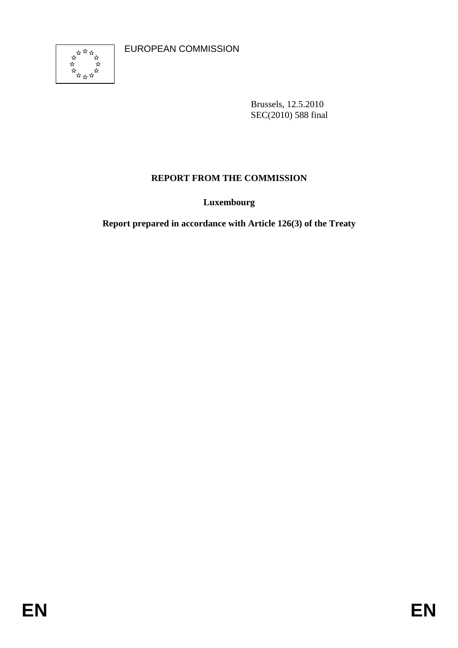EUROPEAN COMMISSION



Brussels, 12.5.2010 SEC(2010) 588 final

# **REPORT FROM THE COMMISSION**

**Luxembourg** 

**Report prepared in accordance with Article 126(3) of the Treaty**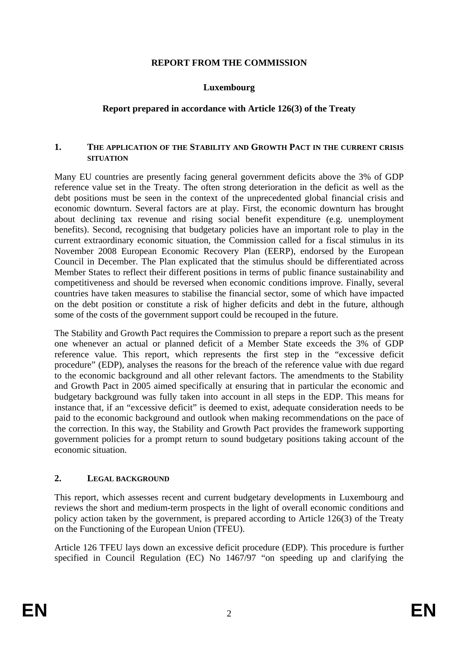#### **REPORT FROM THE COMMISSION**

#### **Luxembourg**

#### **Report prepared in accordance with Article 126(3) of the Treaty**

#### **1. THE APPLICATION OF THE STABILITY AND GROWTH PACT IN THE CURRENT CRISIS SITUATION**

Many EU countries are presently facing general government deficits above the 3% of GDP reference value set in the Treaty. The often strong deterioration in the deficit as well as the debt positions must be seen in the context of the unprecedented global financial crisis and economic downturn. Several factors are at play. First, the economic downturn has brought about declining tax revenue and rising social benefit expenditure (e.g. unemployment benefits). Second, recognising that budgetary policies have an important role to play in the current extraordinary economic situation, the Commission called for a fiscal stimulus in its November 2008 European Economic Recovery Plan (EERP), endorsed by the European Council in December. The Plan explicated that the stimulus should be differentiated across Member States to reflect their different positions in terms of public finance sustainability and competitiveness and should be reversed when economic conditions improve. Finally, several countries have taken measures to stabilise the financial sector, some of which have impacted on the debt position or constitute a risk of higher deficits and debt in the future, although some of the costs of the government support could be recouped in the future.

The Stability and Growth Pact requires the Commission to prepare a report such as the present one whenever an actual or planned deficit of a Member State exceeds the 3% of GDP reference value. This report, which represents the first step in the "excessive deficit procedure" (EDP), analyses the reasons for the breach of the reference value with due regard to the economic background and all other relevant factors. The amendments to the Stability and Growth Pact in 2005 aimed specifically at ensuring that in particular the economic and budgetary background was fully taken into account in all steps in the EDP. This means for instance that, if an "excessive deficit" is deemed to exist, adequate consideration needs to be paid to the economic background and outlook when making recommendations on the pace of the correction. In this way, the Stability and Growth Pact provides the framework supporting government policies for a prompt return to sound budgetary positions taking account of the economic situation.

#### **2. LEGAL BACKGROUND**

This report, which assesses recent and current budgetary developments in Luxembourg and reviews the short and medium-term prospects in the light of overall economic conditions and policy action taken by the government, is prepared according to Article 126(3) of the Treaty on the Functioning of the European Union (TFEU).

Article 126 TFEU lays down an excessive deficit procedure (EDP). This procedure is further specified in Council Regulation (EC) No 1467/97 "on speeding up and clarifying the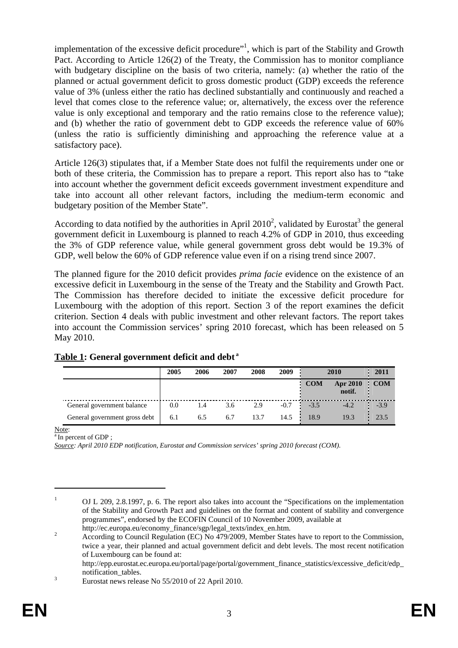implementation of the excessive deficit procedure"<sup>1</sup>, which is part of the Stability and Growth Pact. According to Article 126(2) of the Treaty, the Commission has to monitor compliance with budgetary discipline on the basis of two criteria, namely: (a) whether the ratio of the planned or actual government deficit to gross domestic product (GDP) exceeds the reference value of 3% (unless either the ratio has declined substantially and continuously and reached a level that comes close to the reference value; or, alternatively, the excess over the reference value is only exceptional and temporary and the ratio remains close to the reference value); and (b) whether the ratio of government debt to GDP exceeds the reference value of 60% (unless the ratio is sufficiently diminishing and approaching the reference value at a satisfactory pace).

Article 126(3) stipulates that, if a Member State does not fulfil the requirements under one or both of these criteria, the Commission has to prepare a report. This report also has to "take into account whether the government deficit exceeds government investment expenditure and take into account all other relevant factors, including the medium-term economic and budgetary position of the Member State".

According to data notified by the authorities in April 2010<sup>2</sup>, validated by Eurostat<sup>3</sup> the general government deficit in Luxembourg is planned to reach 4.2% of GDP in 2010, thus exceeding the 3% of GDP reference value, while general government gross debt would be 19.3% of GDP, well below the 60% of GDP reference value even if on a rising trend since 2007.

The planned figure for the 2010 deficit provides *prima facie* evidence on the existence of an excessive deficit in Luxembourg in the sense of the Treaty and the Stability and Growth Pact. The Commission has therefore decided to initiate the excessive deficit procedure for Luxembourg with the adoption of this report. Section 3 of the report examines the deficit criterion. Section 4 deals with public investment and other relevant factors. The report takes into account the Commission services' spring 2010 forecast, which has been released on 5 May 2010.

|                               | 2005 | 2006 | 2007 | 2008 | 2009   | 2010       |                           | 2011       |
|-------------------------------|------|------|------|------|--------|------------|---------------------------|------------|
|                               |      |      |      |      |        | <b>COM</b> | <b>Apr 2010</b><br>notif. | <b>COM</b> |
| General government balance    | 0.0  | 1.4  | 3.6  | 2.9  | $-0.7$ | $-3.5$     | $-4.2$                    | $-3.9$     |
| General government gross debt | 6.1  | 6.5  | 6.7  | 13.7 | 14.5   | 18.9       | 19.3                      | 23.5       |

## **Table 1: General government deficit and debt a**

 $\frac{\text{Note:}}{\text{a In percent of GDP}}$ ;

1

*Source: April 2010 EDP notification, Eurostat and Commission services' spring 2010 forecast (COM).* 

<sup>1</sup> OJ L 209, 2.8.1997, p. 6. The report also takes into account the "Specifications on the implementation of the Stability and Growth Pact and guidelines on the format and content of stability and convergence programmes", endorsed by the ECOFIN Council of 10 November 2009, available at

http://ec.europa.eu/economy\_finance/sgp/legal\_texts/index\_en.htm.<br>2 According to Council Beculation (EC) No.470/2000, Momber State According to Council Regulation (EC) No 479/2009, Member States have to report to the Commission, twice a year, their planned and actual government deficit and debt levels. The most recent notification of Luxembourg can be found at:

http://epp.eurostat.ec.europa.eu/portal/page/portal/government\_finance\_statistics/excessive\_deficit/edp\_ notification\_tables.

Eurostat news release No 55/2010 of 22 April 2010.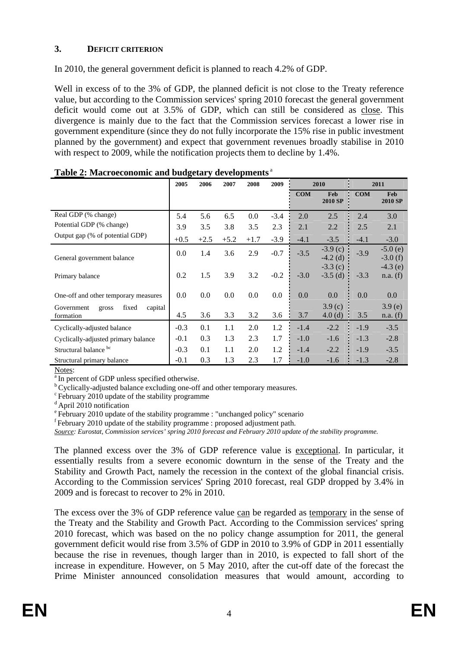## **3. DEFICIT CRITERION**

In 2010, the general government deficit is planned to reach 4.2% of GDP.

Well in excess of to the 3% of GDP, the planned deficit is not close to the Treaty reference value, but according to the Commission services' spring 2010 forecast the general government deficit would come out at 3.5% of GDP, which can still be considered as close. This divergence is mainly due to the fact that the Commission services forecast a lower rise in government expenditure (since they do not fully incorporate the 15% rise in public investment planned by the government) and expect that government revenues broadly stabilise in 2010 with respect to 2009, while the notification projects them to decline by 1.4%.

|                                                      | 2005   | 2006   | 2007   | 2008   | 2009   | 2010       |                          | 2011       |                        |
|------------------------------------------------------|--------|--------|--------|--------|--------|------------|--------------------------|------------|------------------------|
|                                                      |        |        |        |        |        | <b>COM</b> | Feb<br><b>2010 SP</b>    | <b>COM</b> | Feb<br>2010 SP         |
| Real GDP (% change)                                  | 5.4    | 5.6    | 6.5    | 0.0    | $-3.4$ | 2.0        | 2.5                      | 2.4        | 3.0                    |
| Potential GDP (% change)                             | 3.9    | 3.5    | 3.8    | 3.5    | 2.3    | 2.1        | 2.2                      | 2.5        | 2.1                    |
| Output gap (% of potential GDP)                      | $+0.5$ | $+2.5$ | $+5.2$ | $+1.7$ | $-3.9$ | $-4.1$     | $-3.5$                   | $-4.1$     | $-3.0$                 |
| General government balance                           | 0.0    | 1.4    | 3.6    | 2.9    | $-0.7$ | $-3.5$     | $-3.9$ (c)<br>$-4.2$ (d) | $-3.9$     | $-5.0(e)$<br>$-3.0(f)$ |
| Primary balance                                      | 0.2    | 1.5    | 3.9    | 3.2    | $-0.2$ | $-3.0$     | $-3.3$ (c)<br>$-3.5$ (d) | $-3.3$     | $-4.3$ (e)<br>n.a. (f) |
| One-off and other temporary measures                 | 0.0    | 0.0    | 0.0    | 0.0    | 0.0    | 0.0        | 0.0                      | 0.0        | 0.0                    |
| fixed<br>Government<br>capital<br>gross<br>formation | 4.5    | 3.6    | 3.3    | 3.2    | 3.6    | 3.7        | 3.9(c)<br>4.0(d)         | 3.5        | 3.9(e)<br>n.a. (f)     |
| Cyclically-adjusted balance                          | $-0.3$ | 0.1    | 1.1    | 2.0    | 1.2    | $-1.4$     | $-2.2$                   | $-1.9$     | $-3.5$                 |
| Cyclically-adjusted primary balance                  | $-0.1$ | 0.3    | 1.3    | 2.3    | 1.7    | $-1.0$     | $-1.6$                   | $-1.3$     | $-2.8$                 |
| Structural balance bc                                | $-0.3$ | 0.1    | 1.1    | 2.0    | 1.2    | $-1.4$     | $-2.2$                   | $-1.9$     | $-3.5$                 |
| Structural primary balance                           | $-0.1$ | 0.3    | 1.3    | 2.3    | 1.7    | $-1.0$     | $-1.6$                   | $-1.3$     | $-2.8$                 |

| Table 2: Macroeconomic and budgetary developments <sup>a</sup> |  |  |  |
|----------------------------------------------------------------|--|--|--|
|----------------------------------------------------------------|--|--|--|

Notes:<br> $\frac{a}{b}$  In percent of GDP unless specified otherwise.<br> $\frac{b}{c}$  Cyclically-adjusted balance excluding one-off and other temporary measures.

<sup>c</sup> February 2010 update of the stability programme

<sup>d</sup> April 2010 notification

e February 2010 update of the stability programme : "unchanged policy" scenario

 $f$  February 2010 update of the stability programme : proposed adjustment path.

*Source: Eurostat, Commission services' spring 2010 forecast and February 2010 update of the stability programme.*

The planned excess over the 3% of GDP reference value is exceptional. In particular, it essentially results from a severe economic downturn in the sense of the Treaty and the Stability and Growth Pact, namely the recession in the context of the global financial crisis. According to the Commission services' Spring 2010 forecast, real GDP dropped by 3.4% in 2009 and is forecast to recover to 2% in 2010.

The excess over the 3% of GDP reference value can be regarded as temporary in the sense of the Treaty and the Stability and Growth Pact. According to the Commission services' spring 2010 forecast, which was based on the no policy change assumption for 2011, the general government deficit would rise from 3.5% of GDP in 2010 to 3.9% of GDP in 2011 essentially because the rise in revenues, though larger than in 2010, is expected to fall short of the increase in expenditure. However, on 5 May 2010, after the cut-off date of the forecast the Prime Minister announced consolidation measures that would amount, according to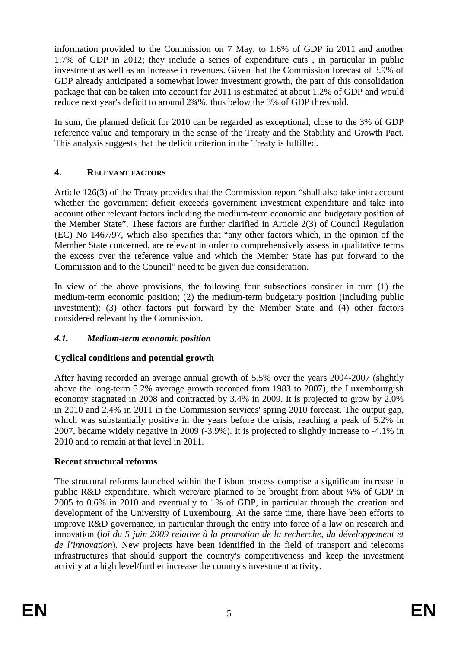information provided to the Commission on 7 May, to 1.6% of GDP in 2011 and another 1.7% of GDP in 2012; they include a series of expenditure cuts , in particular in public investment as well as an increase in revenues. Given that the Commission forecast of 3.9% of GDP already anticipated a somewhat lower investment growth, the part of this consolidation package that can be taken into account for 2011 is estimated at about 1.2% of GDP and would reduce next year's deficit to around 2¾%, thus below the 3% of GDP threshold.

In sum, the planned deficit for 2010 can be regarded as exceptional, close to the 3% of GDP reference value and temporary in the sense of the Treaty and the Stability and Growth Pact. This analysis suggests that the deficit criterion in the Treaty is fulfilled.

## **4. RELEVANT FACTORS**

Article 126(3) of the Treaty provides that the Commission report "shall also take into account whether the government deficit exceeds government investment expenditure and take into account other relevant factors including the medium-term economic and budgetary position of the Member State". These factors are further clarified in Article 2(3) of Council Regulation (EC) No 1467/97, which also specifies that "any other factors which, in the opinion of the Member State concerned, are relevant in order to comprehensively assess in qualitative terms the excess over the reference value and which the Member State has put forward to the Commission and to the Council" need to be given due consideration.

In view of the above provisions, the following four subsections consider in turn (1) the medium-term economic position; (2) the medium-term budgetary position (including public investment); (3) other factors put forward by the Member State and (4) other factors considered relevant by the Commission.

# *4.1. Medium-term economic position*

# **Cyclical conditions and potential growth**

After having recorded an average annual growth of 5.5% over the years 2004-2007 (slightly above the long-term 5.2% average growth recorded from 1983 to 2007), the Luxembourgish economy stagnated in 2008 and contracted by 3.4% in 2009. It is projected to grow by 2.0% in 2010 and 2.4% in 2011 in the Commission services' spring 2010 forecast. The output gap, which was substantially positive in the years before the crisis, reaching a peak of 5.2% in 2007, became widely negative in 2009 (-3.9%). It is projected to slightly increase to -4.1% in 2010 and to remain at that level in 2011.

## **Recent structural reforms**

The structural reforms launched within the Lisbon process comprise a significant increase in public R&D expenditure, which were/are planned to be brought from about ¼% of GDP in 2005 to 0.6% in 2010 and eventually to 1% of GDP, in particular through the creation and development of the University of Luxembourg. At the same time, there have been efforts to improve R&D governance, in particular through the entry into force of a law on research and innovation (*loi du 5 juin 2009 relative à la promotion de la recherche, du développement et de l'innovation*). New projects have been identified in the field of transport and telecoms infrastructures that should support the country's competitiveness and keep the investment activity at a high level/further increase the country's investment activity.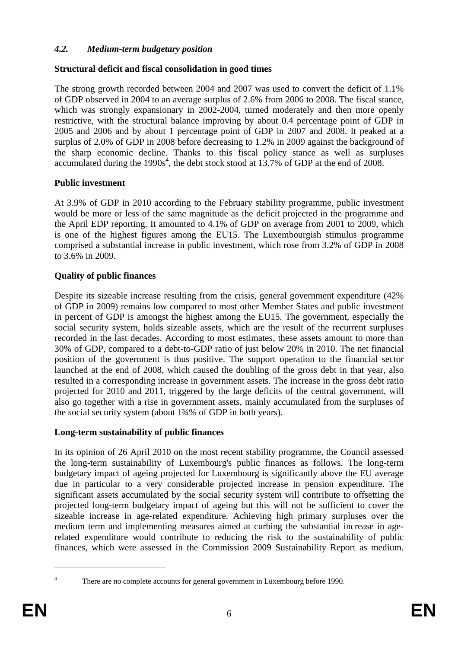## *4.2. Medium-term budgetary position*

## **Structural deficit and fiscal consolidation in good times**

The strong growth recorded between 2004 and 2007 was used to convert the deficit of 1.1% of GDP observed in 2004 to an average surplus of 2.6% from 2006 to 2008. The fiscal stance, which was strongly expansionary in 2002-2004, turned moderately and then more openly restrictive, with the structural balance improving by about 0.4 percentage point of GDP in 2005 and 2006 and by about 1 percentage point of GDP in 2007 and 2008. It peaked at a surplus of 2.0% of GDP in 2008 before decreasing to 1.2% in 2009 against the background of the sharp economic decline. Thanks to this fiscal policy stance as well as surpluses accumulated during the  $1990s<sup>4</sup>$ , the debt stock stood at 13.7% of GDP at the end of 2008.

## **Public investment**

At 3.9% of GDP in 2010 according to the February stability programme, public investment would be more or less of the same magnitude as the deficit projected in the programme and the April EDP reporting. It amounted to 4.1% of GDP on average from 2001 to 2009, which is one of the highest figures among the EU15. The Luxembourgish stimulus programme comprised a substantial increase in public investment, which rose from 3.2% of GDP in 2008 to 3.6% in 2009.

## **Quality of public finances**

Despite its sizeable increase resulting from the crisis, general government expenditure (42% of GDP in 2009) remains low compared to most other Member States and public investment in percent of GDP is amongst the highest among the EU15. The government, especially the social security system, holds sizeable assets, which are the result of the recurrent surpluses recorded in the last decades. According to most estimates, these assets amount to more than 30% of GDP, compared to a debt-to-GDP ratio of just below 20% in 2010. The net financial position of the government is thus positive. The support operation to the financial sector launched at the end of 2008, which caused the doubling of the gross debt in that year, also resulted in a corresponding increase in government assets. The increase in the gross debt ratio projected for 2010 and 2011, triggered by the large deficits of the central government, will also go together with a rise in government assets, mainly accumulated from the surpluses of the social security system (about 1¾% of GDP in both years).

## **Long-term sustainability of public finances**

In its opinion of 26 April 2010 on the most recent stability programme, the Council assessed the long-term sustainability of Luxembourg's public finances as follows. The long-term budgetary impact of ageing projected for Luxembourg is significantly above the EU average due in particular to a very considerable projected increase in pension expenditure. The significant assets accumulated by the social security system will contribute to offsetting the projected long-term budgetary impact of ageing but this will not be sufficient to cover the sizeable increase in age-related expenditure. Achieving high primary surpluses over the medium term and implementing measures aimed at curbing the substantial increase in agerelated expenditure would contribute to reducing the risk to the sustainability of public finances, which were assessed in the Commission 2009 Sustainability Report as medium.

<sup>1</sup> 4

There are no complete accounts for general government in Luxembourg before 1990.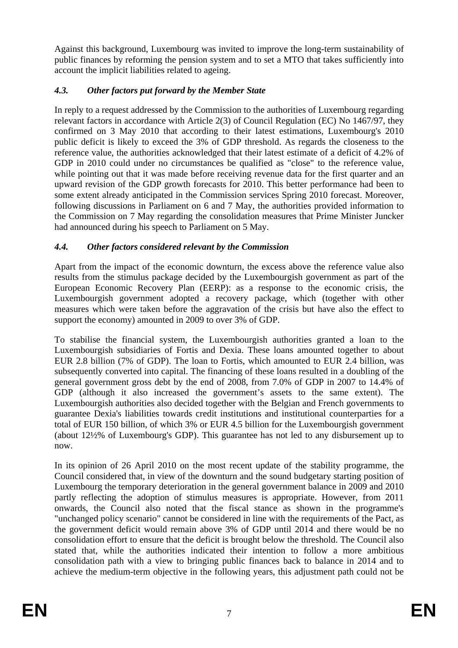Against this background, Luxembourg was invited to improve the long-term sustainability of public finances by reforming the pension system and to set a MTO that takes sufficiently into account the implicit liabilities related to ageing.

# *4.3. Other factors put forward by the Member State*

In reply to a request addressed by the Commission to the authorities of Luxembourg regarding relevant factors in accordance with Article 2(3) of Council Regulation (EC) No 1467/97, they confirmed on 3 May 2010 that according to their latest estimations, Luxembourg's 2010 public deficit is likely to exceed the 3% of GDP threshold. As regards the closeness to the reference value, the authorities acknowledged that their latest estimate of a deficit of 4.2% of GDP in 2010 could under no circumstances be qualified as "close" to the reference value, while pointing out that it was made before receiving revenue data for the first quarter and an upward revision of the GDP growth forecasts for 2010. This better performance had been to some extent already anticipated in the Commission services Spring 2010 forecast. Moreover, following discussions in Parliament on 6 and 7 May, the authorities provided information to the Commission on 7 May regarding the consolidation measures that Prime Minister Juncker had announced during his speech to Parliament on 5 May.

# *4.4. Other factors considered relevant by the Commission*

Apart from the impact of the economic downturn, the excess above the reference value also results from the stimulus package decided by the Luxembourgish government as part of the European Economic Recovery Plan (EERP): as a response to the economic crisis, the Luxembourgish government adopted a recovery package, which (together with other measures which were taken before the aggravation of the crisis but have also the effect to support the economy) amounted in 2009 to over 3% of GDP.

To stabilise the financial system, the Luxembourgish authorities granted a loan to the Luxembourgish subsidiaries of Fortis and Dexia. These loans amounted together to about EUR 2.8 billion (7% of GDP). The loan to Fortis, which amounted to EUR 2.4 billion, was subsequently converted into capital. The financing of these loans resulted in a doubling of the general government gross debt by the end of 2008, from 7.0% of GDP in 2007 to 14.4% of GDP (although it also increased the government's assets to the same extent). The Luxembourgish authorities also decided together with the Belgian and French governments to guarantee Dexia's liabilities towards credit institutions and institutional counterparties for a total of EUR 150 billion, of which 3% or EUR 4.5 billion for the Luxembourgish government (about 12½% of Luxembourg's GDP). This guarantee has not led to any disbursement up to now.

In its opinion of 26 April 2010 on the most recent update of the stability programme, the Council considered that, in view of the downturn and the sound budgetary starting position of Luxembourg the temporary deterioration in the general government balance in 2009 and 2010 partly reflecting the adoption of stimulus measures is appropriate. However, from 2011 onwards, the Council also noted that the fiscal stance as shown in the programme's "unchanged policy scenario" cannot be considered in line with the requirements of the Pact, as the government deficit would remain above 3% of GDP until 2014 and there would be no consolidation effort to ensure that the deficit is brought below the threshold. The Council also stated that, while the authorities indicated their intention to follow a more ambitious consolidation path with a view to bringing public finances back to balance in 2014 and to achieve the medium-term objective in the following years, this adjustment path could not be